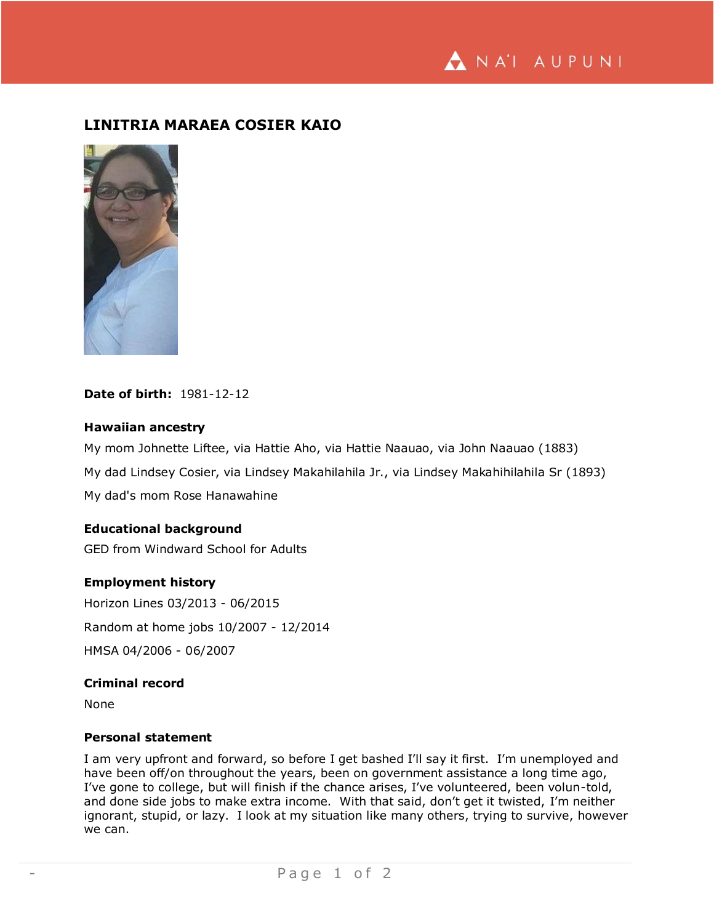NA'I AUPUNI

# **LINITRIA MARAEA COSIER KAIO**



# **Date of birth:** 1981-12-12

# **Hawaiian ancestry**

My mom Johnette Liftee, via Hattie Aho, via Hattie Naauao, via John Naauao (1883) My dad Lindsey Cosier, via Lindsey Makahilahila Jr., via Lindsey Makahihilahila Sr (1893) My dad's mom Rose Hanawahine

### **Educational background**

GED from Windward School for Adults

#### **Employment history**

Horizon Lines 03/2013 - 06/2015 Random at home jobs 10/2007 - 12/2014 HMSA 04/2006 - 06/2007

#### **Criminal record**

None

# **Personal statement**

I am very upfront and forward, so before I get bashed I'll say it first. I'm unemployed and have been off/on throughout the years, been on government assistance a long time ago, I've gone to college, but will finish if the chance arises, I've volunteered, been volun-told, and done side jobs to make extra income. With that said, don't get it twisted, I'm neither ignorant, stupid, or lazy. I look at my situation like many others, trying to survive, however we can.